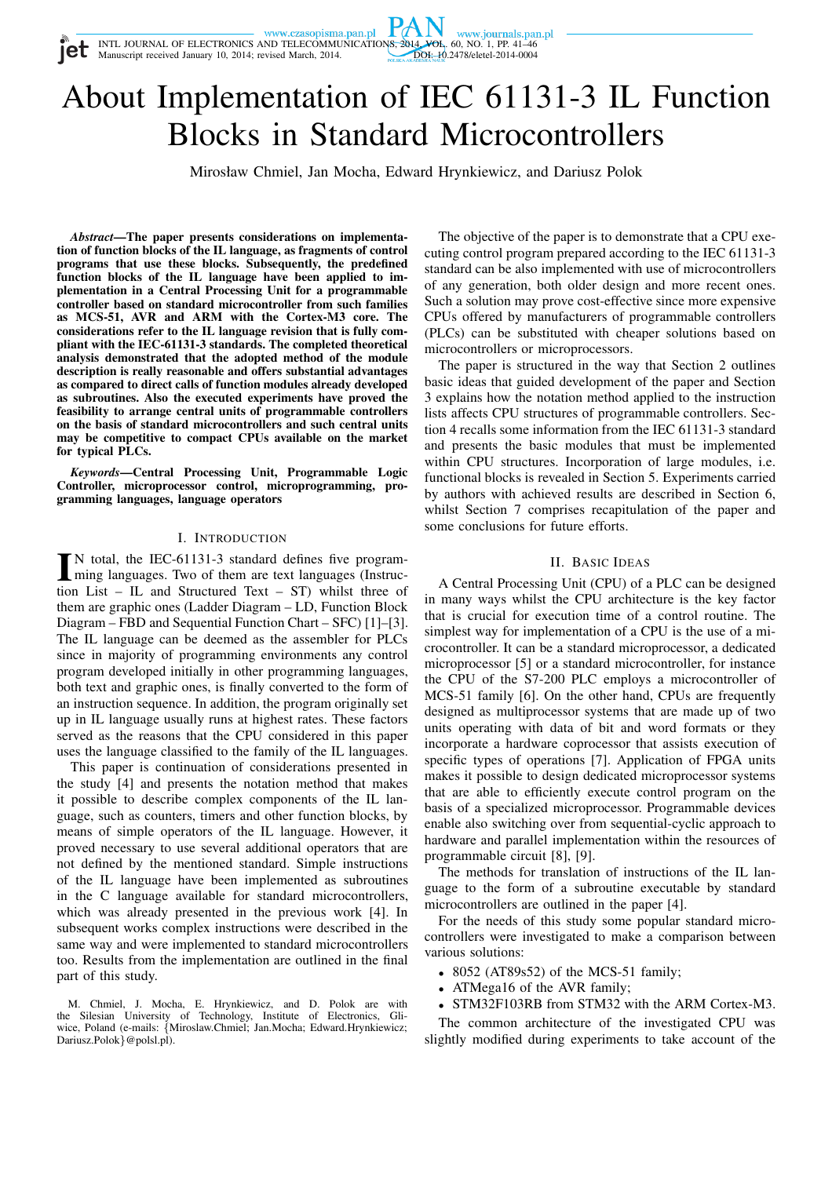INTL JOURNAL OF ELECTRONICS AND TELECOMMUNICATIONS, 2014, VOL. 60, NO. 1, PP. 41–46<br>Manuscript received January 10, 2014; revised March, 2014.

# About Implementation of IEC 61131-3 IL Function Blocks in Standard Microcontrollers

Mirosław Chmiel, Jan Mocha, Edward Hrynkiewicz, and Dariusz Polok

*Abstract***—The paper presents considerations on implementation of function blocks of the IL language, as fragments of control programs that use these blocks. Subsequently, the predefined function blocks of the IL language have been applied to implementation in a Central Processing Unit for a programmable controller based on standard microcontroller from such families as MCS-51, AVR and ARM with the Cortex-M3 core. The considerations refer to the IL language revision that is fully compliant with the IEC-61131-3 standards. The completed theoretical analysis demonstrated that the adopted method of the module description is really reasonable and offers substantial advantages as compared to direct calls of function modules already developed as subroutines. Also the executed experiments have proved the feasibility to arrange central units of programmable controllers on the basis of standard microcontrollers and such central units may be competitive to compact CPUs available on the market for typical PLCs.**

*Keywords***—Central Processing Unit, Programmable Logic Controller, microprocessor control, microprogramming, programming languages, language operators**

### I. INTRODUCTION

IN total, the IEC-61131-3 standard defines five programming languages. Two of them are text languages (Instruc-N total, the IEC-61131-3 standard defines five programtion List – IL and Structured Text – ST) whilst three of them are graphic ones (Ladder Diagram – LD, Function Block Diagram – FBD and Sequential Function Chart – SFC) [1]–[3]. The IL language can be deemed as the assembler for PLCs since in majority of programming environments any control program developed initially in other programming languages, both text and graphic ones, is finally converted to the form of an instruction sequence. In addition, the program originally set up in IL language usually runs at highest rates. These factors served as the reasons that the CPU considered in this paper uses the language classified to the family of the IL languages.

This paper is continuation of considerations presented in the study [4] and presents the notation method that makes it possible to describe complex components of the IL language, such as counters, timers and other function blocks, by means of simple operators of the IL language. However, it proved necessary to use several additional operators that are not defined by the mentioned standard. Simple instructions of the IL language have been implemented as subroutines in the C language available for standard microcontrollers, which was already presented in the previous work [4]. In subsequent works complex instructions were described in the same way and were implemented to standard microcontrollers too. Results from the implementation are outlined in the final part of this study.

The objective of the paper is to demonstrate that a CPU executing control program prepared according to the IEC 61131-3 standard can be also implemented with use of microcontrollers of any generation, both older design and more recent ones. Such a solution may prove cost-effective since more expensive CPUs offered by manufacturers of programmable controllers (PLCs) can be substituted with cheaper solutions based on microcontrollers or microprocessors.

The paper is structured in the way that Section 2 outlines basic ideas that guided development of the paper and Section 3 explains how the notation method applied to the instruction lists affects CPU structures of programmable controllers. Section 4 recalls some information from the IEC 61131-3 standard and presents the basic modules that must be implemented within CPU structures. Incorporation of large modules, i.e. functional blocks is revealed in Section 5. Experiments carried by authors with achieved results are described in Section 6, whilst Section 7 comprises recapitulation of the paper and some conclusions for future efforts.

## II. BASIC IDEAS

A Central Processing Unit (CPU) of a PLC can be designed in many ways whilst the CPU architecture is the key factor that is crucial for execution time of a control routine. The simplest way for implementation of a CPU is the use of a microcontroller. It can be a standard microprocessor, a dedicated microprocessor [5] or a standard microcontroller, for instance the CPU of the S7-200 PLC employs a microcontroller of MCS-51 family [6]. On the other hand, CPUs are frequently designed as multiprocessor systems that are made up of two units operating with data of bit and word formats or they incorporate a hardware coprocessor that assists execution of specific types of operations [7]. Application of FPGA units makes it possible to design dedicated microprocessor systems that are able to efficiently execute control program on the basis of a specialized microprocessor. Programmable devices enable also switching over from sequential-cyclic approach to hardware and parallel implementation within the resources of programmable circuit [8], [9].

The methods for translation of instructions of the IL language to the form of a subroutine executable by standard microcontrollers are outlined in the paper [4].

For the needs of this study some popular standard microcontrollers were investigated to make a comparison between various solutions:

- 8052 (AT89s52) of the MCS-51 family;
- ATMega16 of the AVR family;
- STM32F103RB from STM32 with the ARM Cortex-M3.

The common architecture of the investigated CPU was slightly modified during experiments to take account of the

M. Chmiel, J. Mocha, E. Hrynkiewicz, and D. Polok are with the Silesian University of Technology, Institute of Electronics, Gliwice, Poland (e-mails: {Miroslaw.Chmiel; Jan.Mocha; Edward.Hrynkiewicz; Dariusz.Polok}@polsl.pl).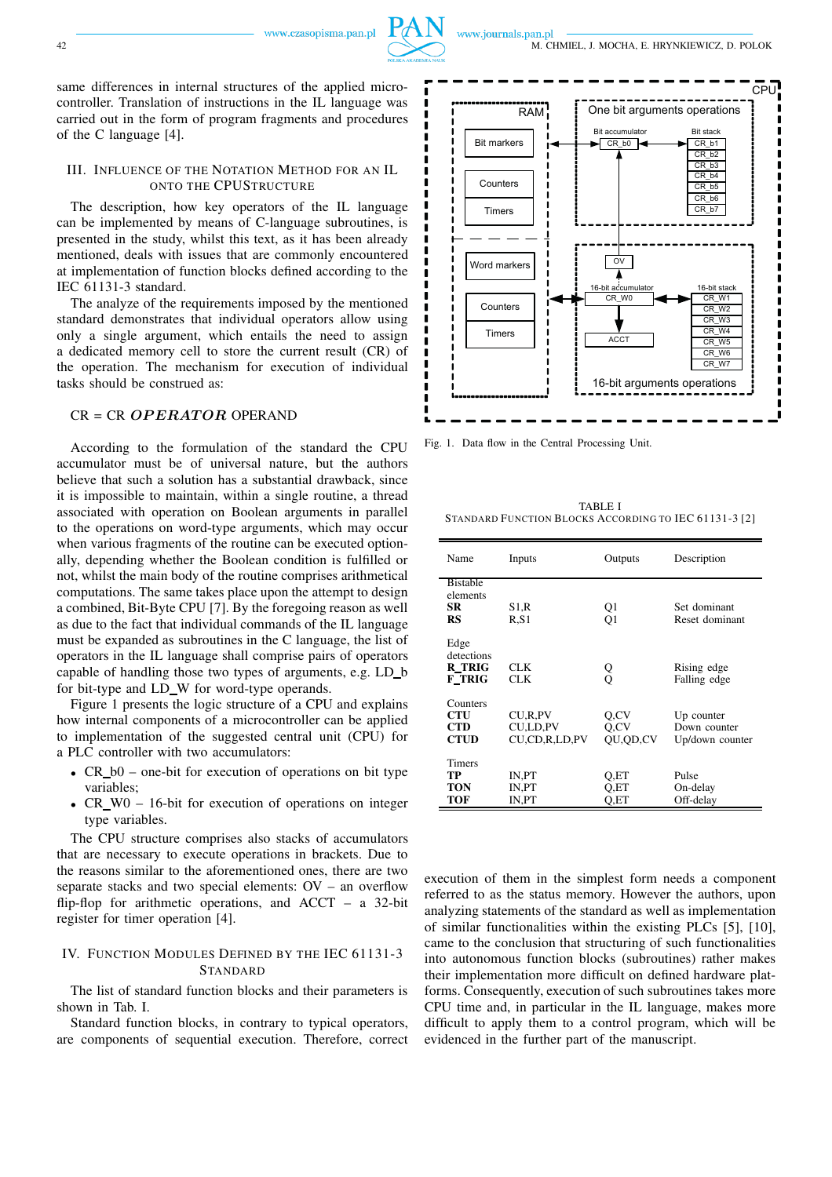www.czasopisma.pan.pl



www.journals.pan.pl

same differences in internal structures of the applied microcontroller. Translation of instructions in the IL language was carried out in the form of program fragments and procedures of the C language [4].

# III. INFLUENCE OF THE NOTATION METHOD FOR AN IL ONTO THE CPUSTRUCTURE

The description, how key operators of the IL language can be implemented by means of C-language subroutines, is presented in the study, whilst this text, as it has been already mentioned, deals with issues that are commonly encountered at implementation of function blocks defined according to the IEC 61131-3 standard.

The analyze of the requirements imposed by the mentioned standard demonstrates that individual operators allow using only a single argument, which entails the need to assign a dedicated memory cell to store the current result (CR) of the operation. The mechanism for execution of individual tasks should be construed as:

## $CR = CR$  *OPERATOR* OPERAND

According to the formulation of the standard the CPU accumulator must be of universal nature, but the authors believe that such a solution has a substantial drawback, since it is impossible to maintain, within a single routine, a thread associated with operation on Boolean arguments in parallel to the operations on word-type arguments, which may occur when various fragments of the routine can be executed optionally, depending whether the Boolean condition is fulfilled or not, whilst the main body of the routine comprises arithmetical computations. The same takes place upon the attempt to design a combined, Bit-Byte CPU [7]. By the foregoing reason as well as due to the fact that individual commands of the IL language must be expanded as subroutines in the C language, the list of operators in the IL language shall comprise pairs of operators capable of handling those two types of arguments, e.g. LD\_b for bit-type and LD\_W for word-type operands.

Figure 1 presents the logic structure of a CPU and explains how internal components of a microcontroller can be applied to implementation of the suggested central unit (CPU) for a PLC controller with two accumulators:

- $CR_b0$  one-bit for execution of operations on bit type variables;
- CR W0 16-bit for execution of operations on integer type variables.

The CPU structure comprises also stacks of accumulators that are necessary to execute operations in brackets. Due to the reasons similar to the aforementioned ones, there are two separate stacks and two special elements: OV – an overflow flip-flop for arithmetic operations, and  $ACCT - a$  32-bit register for timer operation [4].

# IV. FUNCTION MODULES DEFINED BY THE IEC 61131-3 **STANDARD**

The list of standard function blocks and their parameters is shown in Tab. I.

Standard function blocks, in contrary to typical operators, are components of sequential execution. Therefore, correct



Fig. 1. Data flow in the Central Processing Unit.

TABLE I STANDARD FUNCTION BLOCKS ACCORDING TO IEC 61131-3 [2]

| Name                                                | Inputs                               | Outputs                   | Description                                   |
|-----------------------------------------------------|--------------------------------------|---------------------------|-----------------------------------------------|
| <b>Bistable</b><br>elements<br>SR<br>RS             | S1.R<br>R.S1                         | Q1<br>Q1                  | Set dominant<br>Reset dominant                |
| Edge<br>detections<br>R TRIG<br><b>F_TRIG</b>       | CLK.<br>CLK.                         | Q<br>Q                    | Rising edge<br>Falling edge                   |
| Counters<br><b>CTU</b><br><b>CTD</b><br><b>CTUD</b> | CU,R,PV<br>CU,LD,PV<br>CU,CD,R,LD,PV | Q, CV<br>O.CV<br>QU,QD,CV | Up counter<br>Down counter<br>Up/down counter |
| Timers<br>TP<br><b>TON</b><br><b>TOF</b>            | IN.PT<br>IN.PT<br>IN,PT              | O.ET<br>O.ET<br>O.ET      | Pulse<br>On-delay<br>Off-delay                |

execution of them in the simplest form needs a component referred to as the status memory. However the authors, upon analyzing statements of the standard as well as implementation of similar functionalities within the existing PLCs [5], [10], came to the conclusion that structuring of such functionalities into autonomous function blocks (subroutines) rather makes their implementation more difficult on defined hardware platforms. Consequently, execution of such subroutines takes more CPU time and, in particular in the IL language, makes more difficult to apply them to a control program, which will be evidenced in the further part of the manuscript.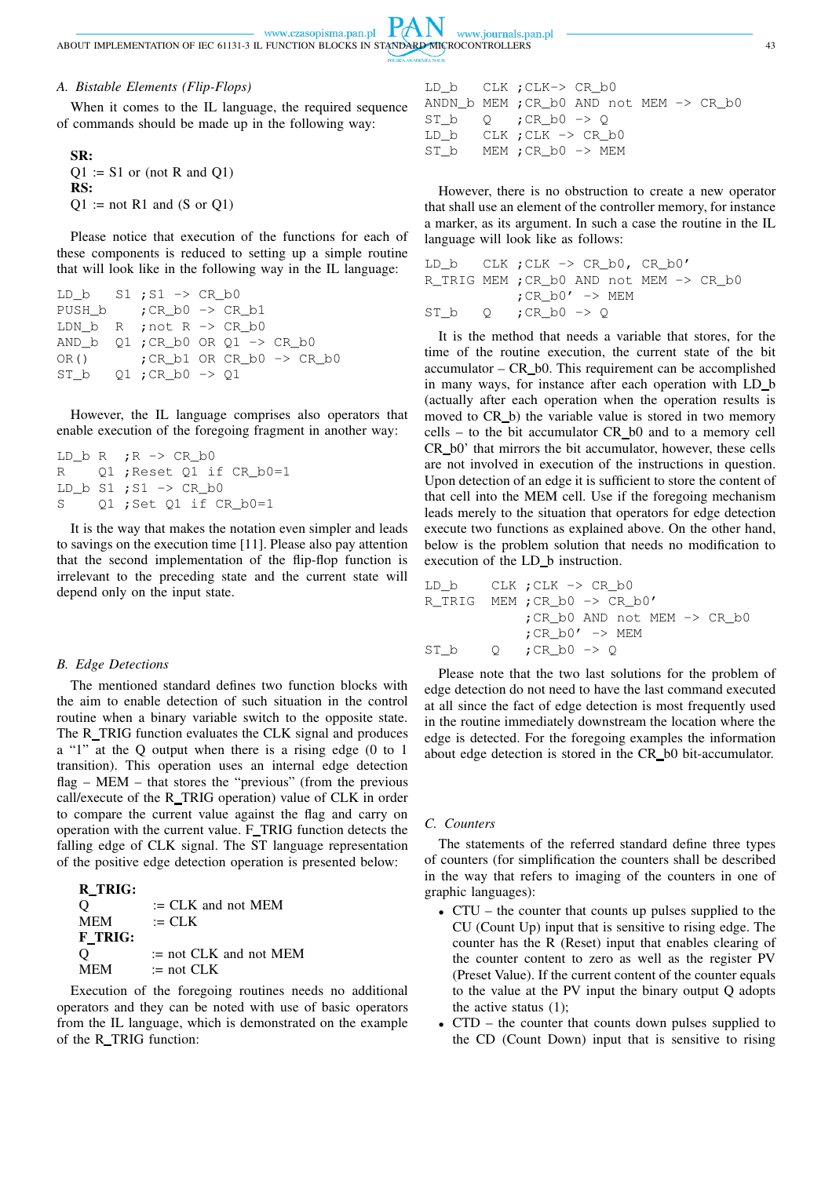#### *A. Bistable Elements (Flip-Flops)*

When it comes to the IL language, the required sequence of commands should be made up in the following way:

**SR:**  
 
$$
Q1 := S1
$$
 or (not R and  $Q1$ )  
 **RS:**  
  $Q1 :=$  not R1 and (S or  $Q1$ )

Please notice that execution of the functions for each of these components is reduced to setting up a simple routine that will look like in the following way in the IL language:

```
LD_b S1; S1 -> CR_b0PUSH_b ;CR_b0 -> CR_b1
LDN b R ;not R -> CR b0AND_b Q1 ;CR_b0 OR Q1 -> CR_b0
OR() ; CR_b1 OR CR_b0 \rightarrow CR_b0ST_b Q1 ;CR_b0 -> Q1
```
However, the IL language comprises also operators that enable execution of the foregoing fragment in another way:

```
LD_b R ; R \rightarrow CR_b0R Q1 ;Reset Q1 if CR_b0=1
LD_b S1 ; S1 \rightarrow CR_b0S Q1; Set Q1 if CR_b0=1
```
It is the way that makes the notation even simpler and leads to savings on the execution time [11]. Please also pay attention that the second implementation of the flip-flop function is irrelevant to the preceding state and the current state will depend only on the input state.

# *B. Edge Detections*

The mentioned standard defines two function blocks with the aim to enable detection of such situation in the control routine when a binary variable switch to the opposite state. The R\_TRIG function evaluates the CLK signal and produces a "1" at the Q output when there is a rising edge (0 to 1 transition). This operation uses an internal edge detection flag – MEM – that stores the "previous" (from the previous call/execute of the R\_TRIG operation) value of CLK in order to compare the current value against the flag and carry on operation with the current value. F TRIG function detects the falling edge of CLK signal. The ST language representation of the positive edge detection operation is presented below:

```
R TRIG:
Q := CLK and not MEM
MEM := CLKF TRIG:
Q \nightharpoonup := not CLK and not MEM
MEM := not CLK
```
Execution of the foregoing routines needs no additional operators and they can be noted with use of basic operators from the IL language, which is demonstrated on the example of the R\_TRIG function:

|  | LD b CLK ;CLK-> CR b0                  |
|--|----------------------------------------|
|  | ANDN b MEM ;CR b0 AND not MEM -> CR b0 |
|  | ST b $\circ$ ; CR b 0 -> 0             |
|  | LD b CLK ;CLK -> CR b0                 |
|  | ST b MEM ; CR b0 -> MEM                |

However, there is no obstruction to create a new operator that shall use an element of the controller memory, for instance a marker, as its argument. In such a case the routine in the IL language will look like as follows:

LD\_b CLK ;CLK -> CR\_b0, CR\_b0' R\_TRIG MEM ;CR\_b0 AND not MEM -> CR\_b0 ;CR\_b0' -> MEM  $ST_b$  Q ;  $CR_b0 \rightarrow Q$ 

It is the method that needs a variable that stores, for the time of the routine execution, the current state of the bit  $accumulator - CR_b0$ . This requirement can be accomplished in many ways, for instance after each operation with LD b (actually after each operation when the operation results is moved to CR<sub>\_</sub>b) the variable value is stored in two memory  $cells - to the bit accumulator CR_b0 and to a memory cell$ CR\_b0' that mirrors the bit accumulator, however, these cells are not involved in execution of the instructions in question. Upon detection of an edge it is sufficient to store the content of that cell into the MEM cell. Use if the foregoing mechanism leads merely to the situation that operators for edge detection execute two functions as explained above. On the other hand, below is the problem solution that needs no modification to execution of the LD\_b instruction.

LD\_b CLK ;CLK -> CR\_b0 R\_TRIG MEM ;CR\_b0 -> CR\_b0' ;CR\_b0 AND not MEM -> CR\_b0 ;CR\_b0' -> MEM ST\_b Q ;CR\_b0 -> Q

Please note that the two last solutions for the problem of edge detection do not need to have the last command executed at all since the fact of edge detection is most frequently used in the routine immediately downstream the location where the edge is detected. For the foregoing examples the information about edge detection is stored in the CR\_b0 bit-accumulator.

## *C. Counters*

The statements of the referred standard define three types of counters (for simplification the counters shall be described in the way that refers to imaging of the counters in one of graphic languages):

- CTU the counter that counts up pulses supplied to the CU (Count Up) input that is sensitive to rising edge. The counter has the R (Reset) input that enables clearing of the counter content to zero as well as the register PV (Preset Value). If the current content of the counter equals to the value at the PV input the binary output Q adopts the active status (1);
- CTD the counter that counts down pulses supplied to the CD (Count Down) input that is sensitive to rising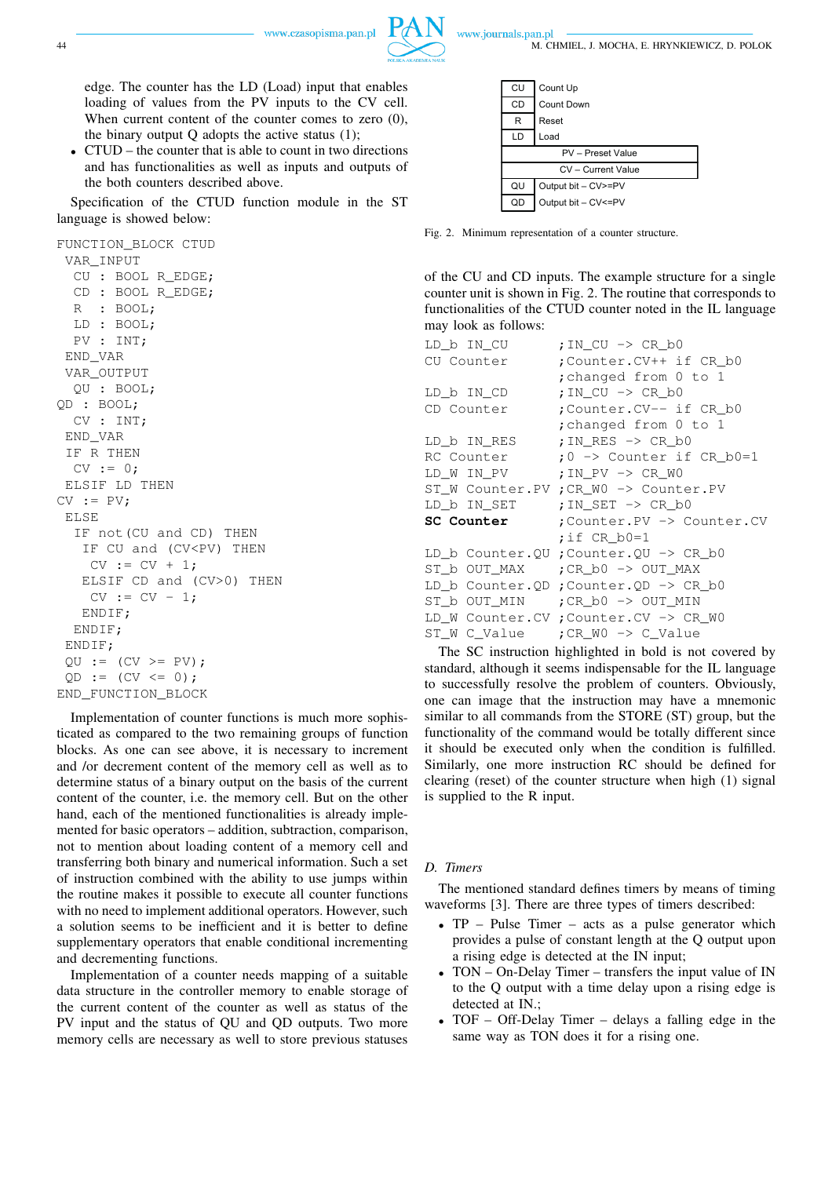www.czasopisma.pan.pl



www.journals.pan.pl 44 M. CHMIEL, J. MOCHA, E. HRYNKIEWICZ, D. POLOK

edge. The counter has the LD (Load) input that enables loading of values from the PV inputs to the CV cell. When current content of the counter comes to zero  $(0)$ , the binary output  $Q$  adopts the active status  $(1)$ ;

• CTUD – the counter that is able to count in two directions and has functionalities as well as inputs and outputs of the both counters described above.

Specification of the CTUD function module in the ST language is showed below:

```
FUNCTION_BLOCK CTUD
 VAR_INPUT
  CU : BOOL R_EDGE;
  CD : BOOL R_EDGE;
  R : BOOL;
  LD : BOOL;
  PV : INT;
 END_VAR
 VAR_OUTPUT
  QU : BOOL;
QD : BOOL;
  CV : INT;
 END_VAR
 IF R THEN
  CV := 0;ELSIF LD THEN
CV := PV;ELSE
  IF not(CU and CD) THEN
   IF CU and (CV<PV) THEN
    CV := CV + 1;ELSIF CD and (CV>0) THEN
    CV := CV - 1;ENDIF;
  ENDIF;
 ENDIF;
 QU := (CV \geq PV);QD := (CV \le 0);END_FUNCTION_BLOCK
```
Implementation of counter functions is much more sophisticated as compared to the two remaining groups of function blocks. As one can see above, it is necessary to increment and /or decrement content of the memory cell as well as to determine status of a binary output on the basis of the current content of the counter, i.e. the memory cell. But on the other hand, each of the mentioned functionalities is already implemented for basic operators – addition, subtraction, comparison, not to mention about loading content of a memory cell and transferring both binary and numerical information. Such a set of instruction combined with the ability to use jumps within the routine makes it possible to execute all counter functions with no need to implement additional operators. However, such a solution seems to be inefficient and it is better to define supplementary operators that enable conditional incrementing and decrementing functions.

Implementation of a counter needs mapping of a suitable data structure in the controller memory to enable storage of the current content of the counter as well as status of the PV input and the status of QU and QD outputs. Two more memory cells are necessary as well to store previous statuses

| CU                        | Count Up            |  |  |
|---------------------------|---------------------|--|--|
| CD                        | <b>Count Down</b>   |  |  |
| R<br>Reset                |                     |  |  |
| LD                        | Load                |  |  |
| PV - Preset Value         |                     |  |  |
|                           | CV - Current Value  |  |  |
| QU                        | Output bit - CV>=PV |  |  |
| Output bit - CV<=PV<br>QD |                     |  |  |

Fig. 2. Minimum representation of a counter structure.

of the CU and CD inputs. The example structure for a single counter unit is shown in Fig. 2. The routine that corresponds to functionalities of the CTUD counter noted in the IL language may look as follows:

```
LD_b IN_CU ; IN_CU \rightarrow CR_b0CU Counter ;Counter.CV++ if CR_b0
                  ;changed from 0 to 1
LD b IN CD ; IN CU \rightarrow CR b0
CD Counter : Counter.CV-- if CR b0
                  ;changed from 0 to 1
LD_b IN_RES ; IN_RES -> CR_b0
RC Counter \bigcup_{i=0}^{n} 0 \rightarrow Counter if CR_b0=1
LD W IN PV \rightarrow IN PV -> CR W0
ST_W Counter.PV ;CR_W0 -> Counter.PV
LD_b IN\_SET ; IN\_SET -> CR_b0SC Counter ; Counter.PV -> Counter.CV
                  ;if CR_b0=1
LD b Counter.OU ; Counter.OU -> CR b0
ST_b OUT_MAX ; CR_b0 -> OUT_MAX
LD_b Counter.QD ;Counter.QD -> CR_b0
ST_b OUT_MIN ; CR_b0 -> OUT_MIN
LD_W Counter.CV ; Counter.CV \rightarrow CR_WO<br>ST W C Value ; CR_WO \rightarrow C_Value
                  ;CR_W0 \rightarrow C_Value
```
The SC instruction highlighted in bold is not covered by standard, although it seems indispensable for the IL language to successfully resolve the problem of counters. Obviously, one can image that the instruction may have a mnemonic similar to all commands from the STORE (ST) group, but the functionality of the command would be totally different since it should be executed only when the condition is fulfilled. Similarly, one more instruction RC should be defined for clearing (reset) of the counter structure when high (1) signal is supplied to the R input.

# *D. Timers*

The mentioned standard defines timers by means of timing waveforms [3]. There are three types of timers described:

- TP Pulse Timer acts as a pulse generator which provides a pulse of constant length at the Q output upon a rising edge is detected at the IN input;
- TON On-Delay Timer transfers the input value of IN to the Q output with a time delay upon a rising edge is detected at IN.;
- TOF Off-Delay Timer delays a falling edge in the same way as TON does it for a rising one.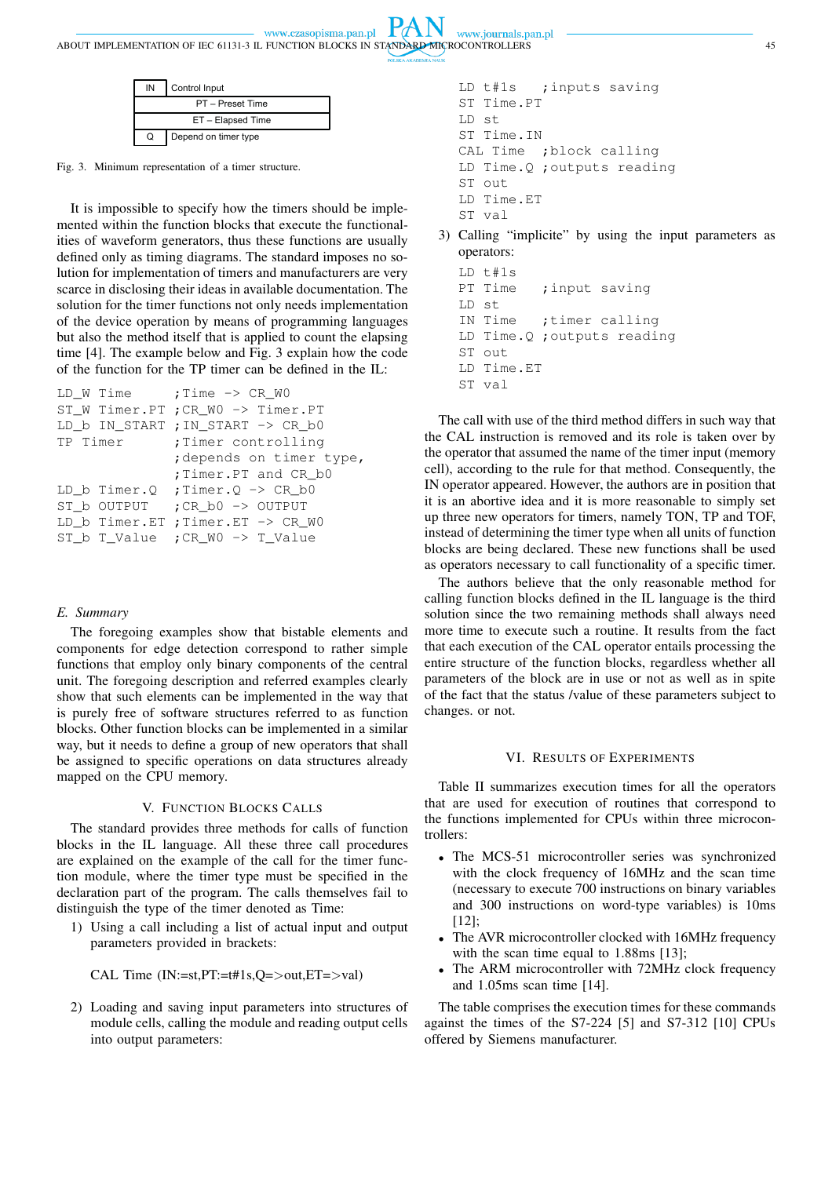|                      | IN                | Control Input |  |  |
|----------------------|-------------------|---------------|--|--|
|                      | PT - Preset Time  |               |  |  |
|                      | ET - Elapsed Time |               |  |  |
| Depend on timer type |                   |               |  |  |

Fig. 3. Minimum representation of a timer structure.

It is impossible to specify how the timers should be implemented within the function blocks that execute the functionalities of waveform generators, thus these functions are usually defined only as timing diagrams. The standard imposes no solution for implementation of timers and manufacturers are very scarce in disclosing their ideas in available documentation. The solution for the timer functions not only needs implementation of the device operation by means of programming languages but also the method itself that is applied to count the elapsing time [4]. The example below and Fig. 3 explain how the code of the function for the TP timer can be defined in the IL:

```
LD W Time \qquad ; Time -> CR WO
ST_W Timer.PT ;CR_W0 -> Timer.PT
LD_b IN_START ;IN_START -> CR_b0
TP Timer ; Timer controlling
              ;depends on timer type,
              ;Timer.PT and CR_b0
LD b Timer.Q ;Timer.Q \rightarrow CR b0
ST_b OUTPUT ; CR_b0 -> OUTPUT
LD b Timer.ET ;Timer.ET -> CR W0
ST_b T_Value ;CR_W0 -> T_Value
```
## *E. Summary*

The foregoing examples show that bistable elements and components for edge detection correspond to rather simple functions that employ only binary components of the central unit. The foregoing description and referred examples clearly show that such elements can be implemented in the way that is purely free of software structures referred to as function blocks. Other function blocks can be implemented in a similar way, but it needs to define a group of new operators that shall be assigned to specific operations on data structures already mapped on the CPU memory.

## V. FUNCTION BLOCKS CALLS

The standard provides three methods for calls of function blocks in the IL language. All these three call procedures are explained on the example of the call for the timer function module, where the timer type must be specified in the declaration part of the program. The calls themselves fail to distinguish the type of the timer denoted as Time:

1) Using a call including a list of actual input and output parameters provided in brackets:

CAL Time (IN:=
$$
st
$$
,PT:= $tt1s$ ,Q= $out$ ,ET= $val$ )

2) Loading and saving input parameters into structures of module cells, calling the module and reading output cells into output parameters:

```
LD t#1s ; inputs saving
ST Time.PT
LD st
ST Time.IN
CAL Time ;block calling
LD Time.Q ;outputs reading
ST out
LD Time.ET
ST val
```
3) Calling "implicite" by using the input parameters as operators:

```
LD t#1s<br>PT Time
           ; input saving
T.D st
IN Time ;timer calling
LD Time.Q ;outputs reading
ST out
LD Time.ET
ST val
```
The call with use of the third method differs in such way that the CAL instruction is removed and its role is taken over by the operator that assumed the name of the timer input (memory cell), according to the rule for that method. Consequently, the IN operator appeared. However, the authors are in position that it is an abortive idea and it is more reasonable to simply set up three new operators for timers, namely TON, TP and TOF, instead of determining the timer type when all units of function blocks are being declared. These new functions shall be used as operators necessary to call functionality of a specific timer.

The authors believe that the only reasonable method for calling function blocks defined in the IL language is the third solution since the two remaining methods shall always need more time to execute such a routine. It results from the fact that each execution of the CAL operator entails processing the entire structure of the function blocks, regardless whether all parameters of the block are in use or not as well as in spite of the fact that the status /value of these parameters subject to changes. or not.

## VI. RESULTS OF EXPERIMENTS

Table II summarizes execution times for all the operators that are used for execution of routines that correspond to the functions implemented for CPUs within three microcontrollers:

- The MCS-51 microcontroller series was synchronized with the clock frequency of 16MHz and the scan time (necessary to execute 700 instructions on binary variables and 300 instructions on word-type variables) is 10ms [12];
- The AVR microcontroller clocked with 16MHz frequency with the scan time equal to 1.88ms [13];
- The ARM microcontroller with 72MHz clock frequency and 1.05ms scan time [14].

The table comprises the execution times for these commands against the times of the S7-224 [5] and S7-312 [10] CPUs offered by Siemens manufacturer.